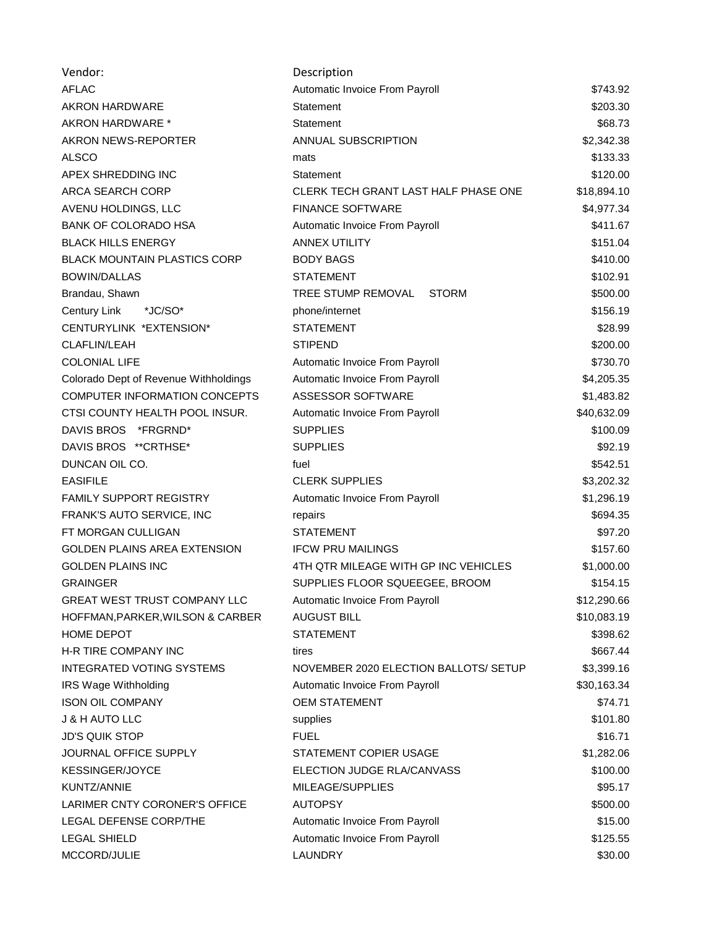| Vendor:                               | Description                           |             |
|---------------------------------------|---------------------------------------|-------------|
| <b>AFLAC</b>                          | Automatic Invoice From Payroll        | \$743.92    |
| <b>AKRON HARDWARE</b>                 | <b>Statement</b>                      | \$203.30    |
| AKRON HARDWARE *                      | Statement                             | \$68.73     |
| AKRON NEWS-REPORTER                   | <b>ANNUAL SUBSCRIPTION</b>            | \$2,342.38  |
| <b>ALSCO</b>                          | mats                                  | \$133.33    |
| APEX SHREDDING INC                    | Statement                             | \$120.00    |
| <b>ARCA SEARCH CORP</b>               | CLERK TECH GRANT LAST HALF PHASE ONE  | \$18,894.10 |
| AVENU HOLDINGS, LLC                   | <b>FINANCE SOFTWARE</b>               | \$4,977.34  |
| <b>BANK OF COLORADO HSA</b>           | Automatic Invoice From Payroll        | \$411.67    |
| <b>BLACK HILLS ENERGY</b>             | <b>ANNEX UTILITY</b>                  | \$151.04    |
| <b>BLACK MOUNTAIN PLASTICS CORP</b>   | <b>BODY BAGS</b>                      | \$410.00    |
| <b>BOWIN/DALLAS</b>                   | <b>STATEMENT</b>                      | \$102.91    |
| Brandau, Shawn                        | TREE STUMP REMOVAL<br><b>STORM</b>    | \$500.00    |
| Century Link<br>*JC/SO*               | phone/internet                        | \$156.19    |
| CENTURYLINK *EXTENSION*               | <b>STATEMENT</b>                      | \$28.99     |
| <b>CLAFLIN/LEAH</b>                   | <b>STIPEND</b>                        | \$200.00    |
| <b>COLONIAL LIFE</b>                  | Automatic Invoice From Payroll        | \$730.70    |
| Colorado Dept of Revenue Withholdings | Automatic Invoice From Payroll        | \$4,205.35  |
| COMPUTER INFORMATION CONCEPTS         | ASSESSOR SOFTWARE                     | \$1,483.82  |
| CTSI COUNTY HEALTH POOL INSUR.        | Automatic Invoice From Payroll        | \$40,632.09 |
| DAVIS BROS *FRGRND*                   | <b>SUPPLIES</b>                       | \$100.09    |
| DAVIS BROS ** CRTHSE*                 | <b>SUPPLIES</b>                       | \$92.19     |
| DUNCAN OIL CO.                        | fuel                                  | \$542.51    |
| <b>EASIFILE</b>                       | <b>CLERK SUPPLIES</b>                 | \$3,202.32  |
| FAMILY SUPPORT REGISTRY               | Automatic Invoice From Payroll        | \$1,296.19  |
| FRANK'S AUTO SERVICE, INC             | repairs                               | \$694.35    |
| FT MORGAN CULLIGAN                    | <b>STATEMENT</b>                      | \$97.20     |
| GOLDEN PLAINS AREA EXTENSION          | <b>IFCW PRU MAILINGS</b>              | \$157.60    |
| <b>GOLDEN PLAINS INC</b>              | 4TH QTR MILEAGE WITH GP INC VEHICLES  | \$1,000.00  |
| <b>GRAINGER</b>                       | SUPPLIES FLOOR SQUEEGEE, BROOM        | \$154.15    |
| <b>GREAT WEST TRUST COMPANY LLC</b>   | Automatic Invoice From Payroll        | \$12,290.66 |
| HOFFMAN, PARKER, WILSON & CARBER      | <b>AUGUST BILL</b>                    | \$10,083.19 |
| <b>HOME DEPOT</b>                     | <b>STATEMENT</b>                      | \$398.62    |
| H-R TIRE COMPANY INC                  | tires                                 | \$667.44    |
| <b>INTEGRATED VOTING SYSTEMS</b>      | NOVEMBER 2020 ELECTION BALLOTS/ SETUP | \$3,399.16  |
| IRS Wage Withholding                  | Automatic Invoice From Payroll        | \$30,163.34 |
| <b>ISON OIL COMPANY</b>               | <b>OEM STATEMENT</b>                  | \$74.71     |
| <b>J &amp; H AUTO LLC</b>             | supplies                              | \$101.80    |
| <b>JD'S QUIK STOP</b>                 | <b>FUEL</b>                           | \$16.71     |
| JOURNAL OFFICE SUPPLY                 | STATEMENT COPIER USAGE                | \$1,282.06  |
| <b>KESSINGER/JOYCE</b>                | ELECTION JUDGE RLA/CANVASS            | \$100.00    |
| KUNTZ/ANNIE                           | MILEAGE/SUPPLIES                      | \$95.17     |
| LARIMER CNTY CORONER'S OFFICE         | <b>AUTOPSY</b>                        | \$500.00    |
| LEGAL DEFENSE CORP/THE                | Automatic Invoice From Payroll        | \$15.00     |
| <b>LEGAL SHIELD</b>                   | Automatic Invoice From Payroll        | \$125.55    |
| MCCORD/JULIE                          | LAUNDRY                               | \$30.00     |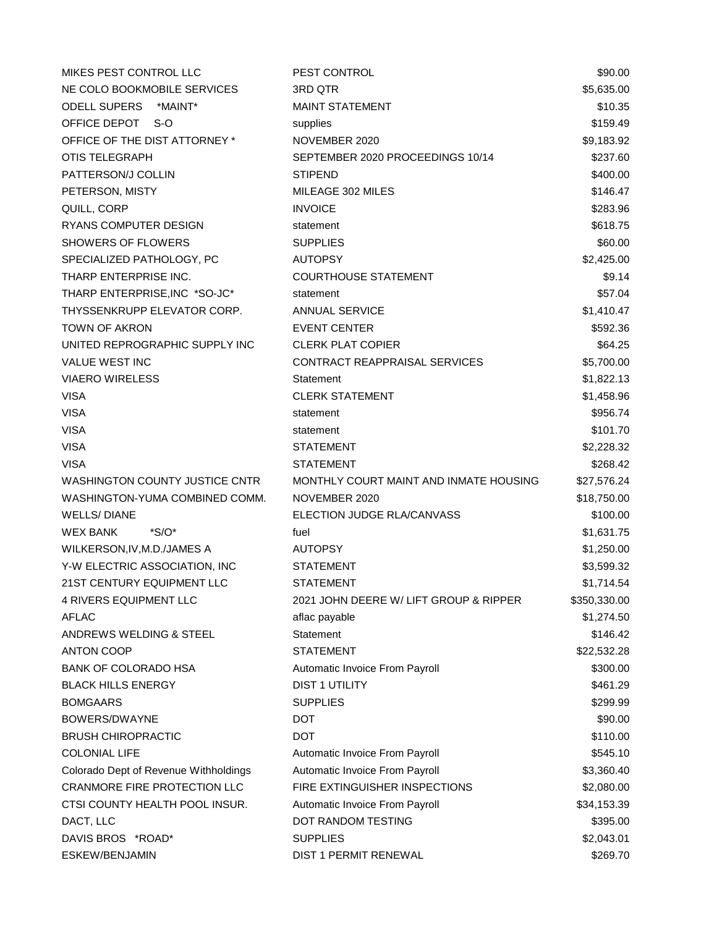| MIKES PEST CONTROL LLC                | PEST CONTROL                           | \$90.00      |
|---------------------------------------|----------------------------------------|--------------|
| NE COLO BOOKMOBILE SERVICES           | 3RD QTR                                | \$5,635.00   |
| ODELL SUPERS *MAINT*                  | <b>MAINT STATEMENT</b>                 | \$10.35      |
| OFFICE DEPOT<br>-S-O                  | supplies                               | \$159.49     |
| OFFICE OF THE DIST ATTORNEY *         | NOVEMBER 2020                          | \$9,183.92   |
| <b>OTIS TELEGRAPH</b>                 | SEPTEMBER 2020 PROCEEDINGS 10/14       | \$237.60     |
| PATTERSON/J COLLIN                    | <b>STIPEND</b>                         | \$400.00     |
| PETERSON, MISTY                       | MILEAGE 302 MILES                      | \$146.47     |
| QUILL, CORP                           | <b>INVOICE</b>                         | \$283.96     |
| RYANS COMPUTER DESIGN                 | statement                              | \$618.75     |
| <b>SHOWERS OF FLOWERS</b>             | <b>SUPPLIES</b>                        | \$60.00      |
| SPECIALIZED PATHOLOGY, PC             | <b>AUTOPSY</b>                         | \$2,425.00   |
| THARP ENTERPRISE INC.                 | <b>COURTHOUSE STATEMENT</b>            | \$9.14       |
| THARP ENTERPRISE, INC *SO-JC*         | statement                              | \$57.04      |
| THYSSENKRUPP ELEVATOR CORP.           | <b>ANNUAL SERVICE</b>                  | \$1,410.47   |
| <b>TOWN OF AKRON</b>                  | <b>EVENT CENTER</b>                    | \$592.36     |
| UNITED REPROGRAPHIC SUPPLY INC        | <b>CLERK PLAT COPIER</b>               | \$64.25      |
| VALUE WEST INC                        | CONTRACT REAPPRAISAL SERVICES          | \$5,700.00   |
| <b>VIAERO WIRELESS</b>                | Statement                              | \$1,822.13   |
| <b>VISA</b>                           | <b>CLERK STATEMENT</b>                 | \$1,458.96   |
| <b>VISA</b>                           | statement                              | \$956.74     |
| <b>VISA</b>                           | statement                              | \$101.70     |
| <b>VISA</b>                           | <b>STATEMENT</b>                       | \$2,228.32   |
| <b>VISA</b>                           | <b>STATEMENT</b>                       | \$268.42     |
| WASHINGTON COUNTY JUSTICE CNTR        | MONTHLY COURT MAINT AND INMATE HOUSING | \$27,576.24  |
| WASHINGTON-YUMA COMBINED COMM.        | NOVEMBER 2020                          | \$18,750.00  |
| <b>WELLS/DIANE</b>                    | ELECTION JUDGE RLA/CANVASS             | \$100.00     |
| <b>WEX BANK</b><br>$^*S/O^*$          | fuel                                   | \$1,631.75   |
| WILKERSON, IV, M.D./JAMES A           | <b>AUTOPSY</b>                         | \$1,250.00   |
| Y-W ELECTRIC ASSOCIATION, INC         | <b>STATEMENT</b>                       | \$3,599.32   |
| 21ST CENTURY EQUIPMENT LLC            | <b>STATEMENT</b>                       | \$1,714.54   |
| 4 RIVERS EQUIPMENT LLC                | 2021 JOHN DEERE W/ LIFT GROUP & RIPPER | \$350,330.00 |
| <b>AFLAC</b>                          | aflac payable                          | \$1,274.50   |
| ANDREWS WELDING & STEEL               | Statement                              | \$146.42     |
| <b>ANTON COOP</b>                     | <b>STATEMENT</b>                       | \$22,532.28  |
| <b>BANK OF COLORADO HSA</b>           | Automatic Invoice From Payroll         | \$300.00     |
| <b>BLACK HILLS ENERGY</b>             | <b>DIST 1 UTILITY</b>                  | \$461.29     |
| <b>BOMGAARS</b>                       | <b>SUPPLIES</b>                        | \$299.99     |
| BOWERS/DWAYNE                         | <b>DOT</b>                             | \$90.00      |
| <b>BRUSH CHIROPRACTIC</b>             | <b>DOT</b>                             | \$110.00     |
| <b>COLONIAL LIFE</b>                  | Automatic Invoice From Payroll         | \$545.10     |
| Colorado Dept of Revenue Withholdings | Automatic Invoice From Payroll         | \$3,360.40   |
| CRANMORE FIRE PROTECTION LLC          | FIRE EXTINGUISHER INSPECTIONS          | \$2,080.00   |
| CTSI COUNTY HEALTH POOL INSUR.        | Automatic Invoice From Payroll         | \$34,153.39  |
| DACT, LLC                             | DOT RANDOM TESTING                     | \$395.00     |
| DAVIS BROS *ROAD*                     | <b>SUPPLIES</b>                        | \$2,043.01   |
| ESKEW/BENJAMIN                        | DIST 1 PERMIT RENEWAL                  | \$269.70     |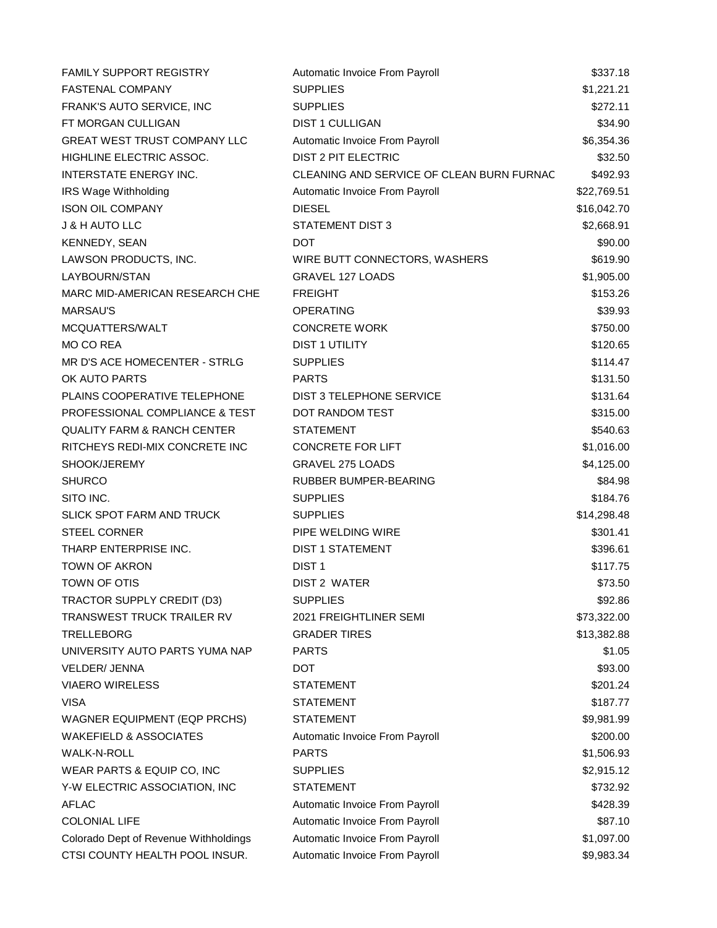| <b>FAMILY SUPPORT REGISTRY</b>         | Automatic Invoice From Payroll            | \$337.18    |
|----------------------------------------|-------------------------------------------|-------------|
| FASTENAL COMPANY                       | <b>SUPPLIES</b>                           | \$1,221.21  |
| FRANK'S AUTO SERVICE, INC              | <b>SUPPLIES</b>                           | \$272.11    |
| FT MORGAN CULLIGAN                     | <b>DIST 1 CULLIGAN</b>                    | \$34.90     |
| GREAT WEST TRUST COMPANY LLC           | Automatic Invoice From Payroll            | \$6,354.36  |
| HIGHLINE ELECTRIC ASSOC.               | <b>DIST 2 PIT ELECTRIC</b>                | \$32.50     |
| <b>INTERSTATE ENERGY INC.</b>          | CLEANING AND SERVICE OF CLEAN BURN FURNAC | \$492.93    |
| IRS Wage Withholding                   | Automatic Invoice From Payroll            | \$22,769.51 |
| <b>ISON OIL COMPANY</b>                | <b>DIESEL</b>                             | \$16,042.70 |
| J & H AUTO LLC                         | STATEMENT DIST 3                          | \$2,668.91  |
| KENNEDY, SEAN                          | DOT                                       | \$90.00     |
| LAWSON PRODUCTS, INC.                  | WIRE BUTT CONNECTORS, WASHERS             | \$619.90    |
| LAYBOURN/STAN                          | <b>GRAVEL 127 LOADS</b>                   | \$1,905.00  |
| MARC MID-AMERICAN RESEARCH CHE         | <b>FREIGHT</b>                            | \$153.26    |
| <b>MARSAU'S</b>                        | <b>OPERATING</b>                          | \$39.93     |
| MCQUATTERS/WALT                        | <b>CONCRETE WORK</b>                      | \$750.00    |
| MO CO REA                              | <b>DIST 1 UTILITY</b>                     | \$120.65    |
| MR D'S ACE HOMECENTER - STRLG          | <b>SUPPLIES</b>                           | \$114.47    |
| OK AUTO PARTS                          | <b>PARTS</b>                              | \$131.50    |
| PLAINS COOPERATIVE TELEPHONE           | DIST 3 TELEPHONE SERVICE                  | \$131.64    |
| PROFESSIONAL COMPLIANCE & TEST         | DOT RANDOM TEST                           | \$315.00    |
| <b>QUALITY FARM &amp; RANCH CENTER</b> | <b>STATEMENT</b>                          | \$540.63    |
| RITCHEYS REDI-MIX CONCRETE INC         | <b>CONCRETE FOR LIFT</b>                  | \$1,016.00  |
| SHOOK/JEREMY                           | GRAVEL 275 LOADS                          | \$4,125.00  |
| <b>SHURCO</b>                          | RUBBER BUMPER-BEARING                     | \$84.98     |
| SITO INC.                              | <b>SUPPLIES</b>                           | \$184.76    |
| <b>SLICK SPOT FARM AND TRUCK</b>       | <b>SUPPLIES</b>                           | \$14,298.48 |
| <b>STEEL CORNER</b>                    | PIPE WELDING WIRE                         | \$301.41    |
| THARP ENTERPRISE INC.                  | <b>DIST 1 STATEMENT</b>                   | \$396.61    |
| <b>TOWN OF AKRON</b>                   | DIST <sub>1</sub>                         | \$117.75    |
| TOWN OF OTIS                           | <b>DIST 2 WATER</b>                       | \$73.50     |
| TRACTOR SUPPLY CREDIT (D3)             | <b>SUPPLIES</b>                           | \$92.86     |
| TRANSWEST TRUCK TRAILER RV             | 2021 FREIGHTLINER SEMI                    | \$73,322.00 |
| <b>TRELLEBORG</b>                      | <b>GRADER TIRES</b>                       | \$13,382.88 |
| UNIVERSITY AUTO PARTS YUMA NAP         | <b>PARTS</b>                              | \$1.05      |
| VELDER/ JENNA                          | <b>DOT</b>                                | \$93.00     |
| <b>VIAERO WIRELESS</b>                 | <b>STATEMENT</b>                          | \$201.24    |
| <b>VISA</b>                            | <b>STATEMENT</b>                          | \$187.77    |
| <b>WAGNER EQUIPMENT (EQP PRCHS)</b>    | <b>STATEMENT</b>                          | \$9,981.99  |
| <b>WAKEFIELD &amp; ASSOCIATES</b>      | Automatic Invoice From Payroll            | \$200.00    |
| <b>WALK-N-ROLL</b>                     | <b>PARTS</b>                              | \$1,506.93  |
| WEAR PARTS & EQUIP CO, INC             | <b>SUPPLIES</b>                           | \$2,915.12  |
| Y-W ELECTRIC ASSOCIATION, INC          | <b>STATEMENT</b>                          | \$732.92    |
| <b>AFLAC</b>                           | Automatic Invoice From Payroll            | \$428.39    |
| <b>COLONIAL LIFE</b>                   | Automatic Invoice From Payroll            | \$87.10     |
| Colorado Dept of Revenue Withholdings  | Automatic Invoice From Payroll            | \$1,097.00  |
| CTSI COUNTY HEALTH POOL INSUR.         | Automatic Invoice From Payroll            | \$9,983.34  |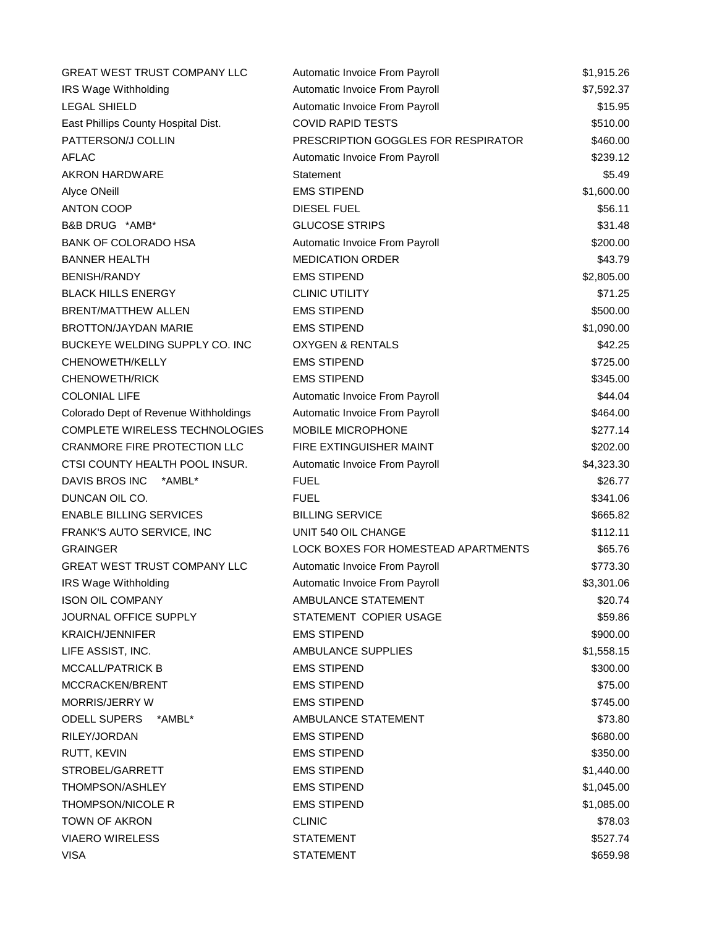| <b>GREAT WEST TRUST COMPANY LLC</b>   | Automatic Invoice From Payroll             | \$1,915.26 |
|---------------------------------------|--------------------------------------------|------------|
| <b>IRS Wage Withholding</b>           | Automatic Invoice From Payroll             | \$7,592.37 |
| <b>LEGAL SHIELD</b>                   | Automatic Invoice From Payroll             | \$15.95    |
| East Phillips County Hospital Dist.   | <b>COVID RAPID TESTS</b>                   | \$510.00   |
| PATTERSON/J COLLIN                    | PRESCRIPTION GOGGLES FOR RESPIRATOR        | \$460.00   |
| AFLAC                                 | Automatic Invoice From Payroll             | \$239.12   |
| AKRON HARDWARE                        | Statement                                  | \$5.49     |
| Alyce ONeill                          | <b>EMS STIPEND</b>                         | \$1,600.00 |
| <b>ANTON COOP</b>                     | <b>DIESEL FUEL</b>                         | \$56.11    |
| B&B DRUG *AMB*                        | <b>GLUCOSE STRIPS</b>                      | \$31.48    |
| <b>BANK OF COLORADO HSA</b>           | Automatic Invoice From Payroll             | \$200.00   |
| <b>BANNER HEALTH</b>                  | <b>MEDICATION ORDER</b>                    | \$43.79    |
| <b>BENISH/RANDY</b>                   | <b>EMS STIPEND</b>                         | \$2,805.00 |
| <b>BLACK HILLS ENERGY</b>             | <b>CLINIC UTILITY</b>                      | \$71.25    |
| <b>BRENT/MATTHEW ALLEN</b>            | <b>EMS STIPEND</b>                         | \$500.00   |
| <b>BROTTON/JAYDAN MARIE</b>           | <b>EMS STIPEND</b>                         | \$1,090.00 |
| BUCKEYE WELDING SUPPLY CO. INC        | <b>OXYGEN &amp; RENTALS</b>                | \$42.25    |
| CHENOWETH/KELLY                       | <b>EMS STIPEND</b>                         | \$725.00   |
| <b>CHENOWETH/RICK</b>                 | <b>EMS STIPEND</b>                         | \$345.00   |
| <b>COLONIAL LIFE</b>                  | Automatic Invoice From Payroll             | \$44.04    |
| Colorado Dept of Revenue Withholdings | Automatic Invoice From Payroll             | \$464.00   |
| COMPLETE WIRELESS TECHNOLOGIES        | MOBILE MICROPHONE                          | \$277.14   |
| CRANMORE FIRE PROTECTION LLC          | FIRE EXTINGUISHER MAINT                    | \$202.00   |
| CTSI COUNTY HEALTH POOL INSUR.        | Automatic Invoice From Payroll             | \$4,323.30 |
| DAVIS BROS INC<br>*AMBL*              | <b>FUEL</b>                                | \$26.77    |
| DUNCAN OIL CO.                        | <b>FUEL</b>                                | \$341.06   |
| <b>ENABLE BILLING SERVICES</b>        | <b>BILLING SERVICE</b>                     | \$665.82   |
| FRANK'S AUTO SERVICE, INC             | UNIT 540 OIL CHANGE                        | \$112.11   |
| <b>GRAINGER</b>                       | <b>LOCK BOXES FOR HOMESTEAD APARTMENTS</b> | \$65.76    |
| GREAT WEST TRUST COMPANY LLC          | Automatic Invoice From Payroll             | \$773.30   |
| IRS Wage Withholding                  | Automatic Invoice From Payroll             | \$3,301.06 |
| <b>ISON OIL COMPANY</b>               | AMBULANCE STATEMENT                        | \$20.74    |
| JOURNAL OFFICE SUPPLY                 | STATEMENT COPIER USAGE                     | \$59.86    |
| <b>KRAICH/JENNIFER</b>                | <b>EMS STIPEND</b>                         | \$900.00   |
| LIFE ASSIST, INC.                     | AMBULANCE SUPPLIES                         | \$1,558.15 |
| <b>MCCALL/PATRICK B</b>               | <b>EMS STIPEND</b>                         | \$300.00   |
| MCCRACKEN/BRENT                       | <b>EMS STIPEND</b>                         | \$75.00    |
| MORRIS/JERRY W                        | <b>EMS STIPEND</b>                         | \$745.00   |
| <b>ODELL SUPERS</b><br>*AMBL*         | AMBULANCE STATEMENT                        | \$73.80    |
| RILEY/JORDAN                          | <b>EMS STIPEND</b>                         | \$680.00   |
| RUTT, KEVIN                           | <b>EMS STIPEND</b>                         | \$350.00   |
| STROBEL/GARRETT                       | <b>EMS STIPEND</b>                         | \$1,440.00 |
| <b>THOMPSON/ASHLEY</b>                | <b>EMS STIPEND</b>                         | \$1,045.00 |
| THOMPSON/NICOLE R                     | <b>EMS STIPEND</b>                         | \$1,085.00 |
| TOWN OF AKRON                         | <b>CLINIC</b>                              | \$78.03    |
| <b>VIAERO WIRELESS</b>                | <b>STATEMENT</b>                           | \$527.74   |
| <b>VISA</b>                           | <b>STATEMENT</b>                           | \$659.98   |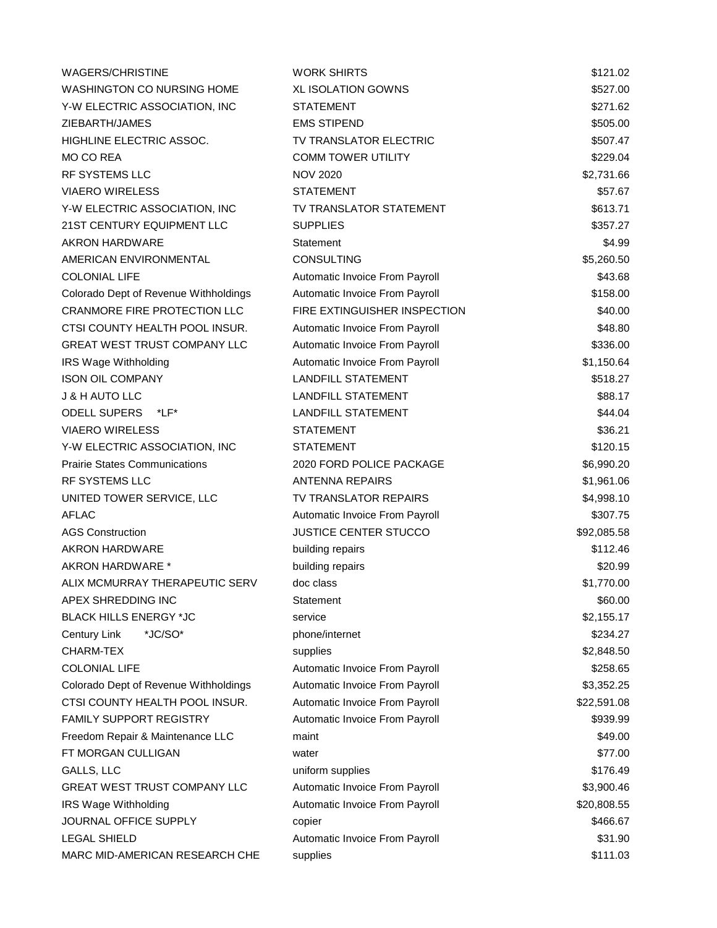| <b>WAGERS/CHRISTINE</b>               | <b>WORK SHIRTS</b>             | \$121.02    |
|---------------------------------------|--------------------------------|-------------|
| WASHINGTON CO NURSING HOME            | <b>XL ISOLATION GOWNS</b>      | \$527.00    |
| Y-W ELECTRIC ASSOCIATION, INC         | <b>STATEMENT</b>               | \$271.62    |
| ZIEBARTH/JAMES                        | <b>EMS STIPEND</b>             | \$505.00    |
| HIGHLINE ELECTRIC ASSOC.              | TV TRANSLATOR ELECTRIC         | \$507.47    |
| MO CO REA                             | <b>COMM TOWER UTILITY</b>      | \$229.04    |
| RF SYSTEMS LLC                        | <b>NOV 2020</b>                | \$2,731.66  |
| <b>VIAERO WIRELESS</b>                | <b>STATEMENT</b>               | \$57.67     |
| Y-W ELECTRIC ASSOCIATION, INC         | TV TRANSLATOR STATEMENT        | \$613.71    |
| 21ST CENTURY EQUIPMENT LLC            | <b>SUPPLIES</b>                | \$357.27    |
| <b>AKRON HARDWARE</b>                 | Statement                      | \$4.99      |
| AMERICAN ENVIRONMENTAL                | <b>CONSULTING</b>              | \$5,260.50  |
| <b>COLONIAL LIFE</b>                  | Automatic Invoice From Payroll | \$43.68     |
| Colorado Dept of Revenue Withholdings | Automatic Invoice From Payroll | \$158.00    |
| <b>CRANMORE FIRE PROTECTION LLC</b>   | FIRE EXTINGUISHER INSPECTION   | \$40.00     |
| CTSI COUNTY HEALTH POOL INSUR.        | Automatic Invoice From Payroll | \$48.80     |
| GREAT WEST TRUST COMPANY LLC          | Automatic Invoice From Payroll | \$336.00    |
| IRS Wage Withholding                  | Automatic Invoice From Payroll | \$1,150.64  |
| <b>ISON OIL COMPANY</b>               | <b>LANDFILL STATEMENT</b>      | \$518.27    |
| <b>J &amp; H AUTO LLC</b>             | <b>LANDFILL STATEMENT</b>      | \$88.17     |
| <b>ODELL SUPERS</b><br>*LF*           | <b>LANDFILL STATEMENT</b>      | \$44.04     |
| <b>VIAERO WIRELESS</b>                | <b>STATEMENT</b>               | \$36.21     |
| Y-W ELECTRIC ASSOCIATION, INC         | <b>STATEMENT</b>               | \$120.15    |
| <b>Prairie States Communications</b>  | 2020 FORD POLICE PACKAGE       | \$6,990.20  |
| <b>RF SYSTEMS LLC</b>                 | <b>ANTENNA REPAIRS</b>         | \$1,961.06  |
| UNITED TOWER SERVICE, LLC             | <b>TV TRANSLATOR REPAIRS</b>   | \$4,998.10  |
| <b>AFLAC</b>                          | Automatic Invoice From Payroll | \$307.75    |
| <b>AGS Construction</b>               | <b>JUSTICE CENTER STUCCO</b>   | \$92,085.58 |
| AKRON HARDWARE                        | building repairs               | \$112.46    |
| AKRON HARDWARE *                      | building repairs               | \$20.99     |
| ALIX MCMURRAY THERAPEUTIC SERV        | doc class                      | \$1,770.00  |
| APEX SHREDDING INC                    | Statement                      | \$60.00     |
| <b>BLACK HILLS ENERGY *JC</b>         | service                        | \$2,155.17  |
| Century Link<br>*JC/SO*               | phone/internet                 | \$234.27    |
| CHARM-TEX                             | supplies                       | \$2,848.50  |
| <b>COLONIAL LIFE</b>                  | Automatic Invoice From Payroll | \$258.65    |
| Colorado Dept of Revenue Withholdings | Automatic Invoice From Payroll | \$3,352.25  |
| CTSI COUNTY HEALTH POOL INSUR.        | Automatic Invoice From Payroll | \$22,591.08 |
| FAMILY SUPPORT REGISTRY               | Automatic Invoice From Payroll | \$939.99    |
| Freedom Repair & Maintenance LLC      | maint                          | \$49.00     |
| FT MORGAN CULLIGAN                    | water                          | \$77.00     |
| GALLS, LLC                            | uniform supplies               | \$176.49    |
| GREAT WEST TRUST COMPANY LLC          | Automatic Invoice From Payroll | \$3,900.46  |
| IRS Wage Withholding                  | Automatic Invoice From Payroll | \$20,808.55 |
| JOURNAL OFFICE SUPPLY                 | copier                         | \$466.67    |
| <b>LEGAL SHIELD</b>                   | Automatic Invoice From Payroll | \$31.90     |
| MARC MID-AMERICAN RESEARCH CHE        | supplies                       | \$111.03    |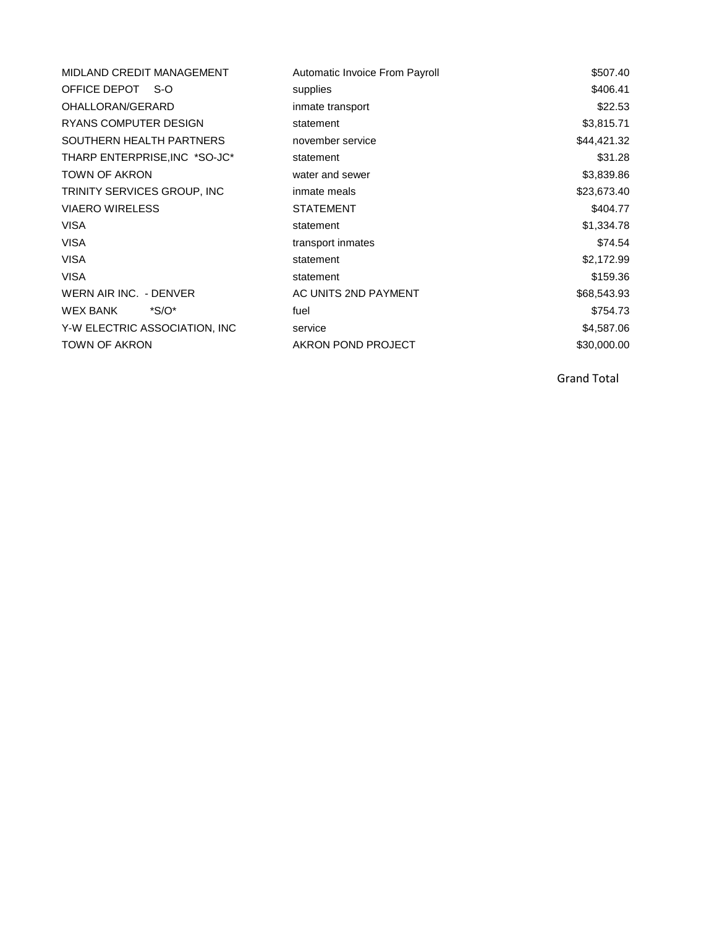| MIDLAND CREDIT MANAGEMENT     | Automatic Invoice From Payroll | \$507.40    |
|-------------------------------|--------------------------------|-------------|
| OFFICE DEPOT S-O              | supplies                       | \$406.41    |
| OHALLORAN/GERARD              | inmate transport               | \$22.53     |
| RYANS COMPUTER DESIGN         | statement                      | \$3,815.71  |
| SOUTHERN HEALTH PARTNERS      | november service               | \$44,421.32 |
| THARP ENTERPRISE, INC *SO-JC* | statement                      | \$31.28     |
| <b>TOWN OF AKRON</b>          | water and sewer                | \$3,839.86  |
| TRINITY SERVICES GROUP, INC   | inmate meals                   | \$23,673.40 |
| <b>VIAERO WIRELESS</b>        | <b>STATEMENT</b>               | \$404.77    |
| <b>VISA</b>                   | statement                      | \$1,334.78  |
| VISA                          | transport inmates              | \$74.54     |
| <b>VISA</b>                   | statement                      | \$2,172.99  |
| <b>VISA</b>                   | statement                      | \$159.36    |
| WERN AIR INC. - DENVER        | AC UNITS 2ND PAYMENT           | \$68,543.93 |
| WEX BANK<br>$^*S/O^*$         | fuel                           | \$754.73    |
| Y-W ELECTRIC ASSOCIATION, INC | service                        | \$4,587.06  |
| <b>TOWN OF AKRON</b>          | AKRON POND PROJECT             | \$30,000.00 |

Grand Total